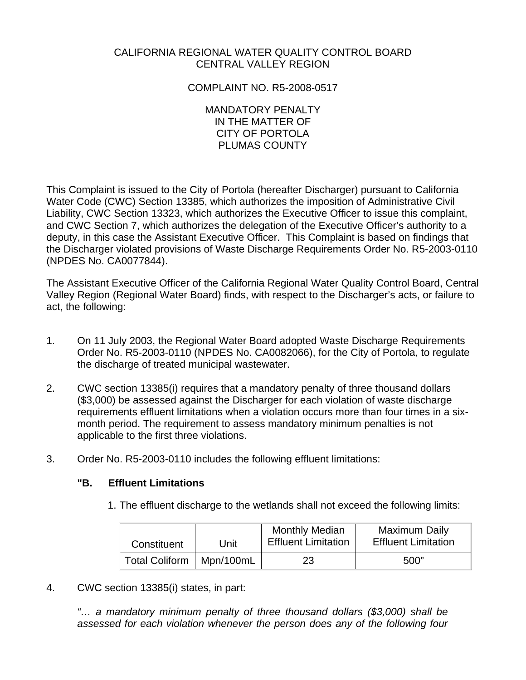# CALIFORNIA REGIONAL WATER QUALITY CONTROL BOARD CENTRAL VALLEY REGION

# COMPLAINT NO. R5-2008-0517

#### MANDATORY PENALTY IN THE MATTER OF CITY OF PORTOLA PLUMAS COUNTY

This Complaint is issued to the City of Portola (hereafter Discharger) pursuant to California Water Code (CWC) Section 13385, which authorizes the imposition of Administrative Civil Liability, CWC Section 13323, which authorizes the Executive Officer to issue this complaint, and CWC Section 7, which authorizes the delegation of the Executive Officer's authority to a deputy, in this case the Assistant Executive Officer. This Complaint is based on findings that the Discharger violated provisions of Waste Discharge Requirements Order No. R5-2003-0110 (NPDES No. CA0077844).

The Assistant Executive Officer of the California Regional Water Quality Control Board, Central Valley Region (Regional Water Board) finds, with respect to the Discharger's acts, or failure to act, the following:

- 1. On 11 July 2003, the Regional Water Board adopted Waste Discharge Requirements Order No. R5-2003-0110 (NPDES No. CA0082066), for the City of Portola, to regulate the discharge of treated municipal wastewater.
- 2. CWC section 13385(i) requires that a mandatory penalty of three thousand dollars (\$3,000) be assessed against the Discharger for each violation of waste discharge requirements effluent limitations when a violation occurs more than four times in a sixmonth period. The requirement to assess mandatory minimum penalties is not applicable to the first three violations.
- 3. Order No. R5-2003-0110 includes the following effluent limitations:

## **"B. Effluent Limitations**

1. The effluent discharge to the wetlands shall not exceed the following limits:

| Constituent                | Unit | <b>Monthly Median</b><br><b>Effluent Limitation</b> | Maximum Daily<br><b>Effluent Limitation</b> |
|----------------------------|------|-----------------------------------------------------|---------------------------------------------|
| Total Coliform   Mpn/100mL |      | 23                                                  | 500"                                        |

4. CWC section 13385(i) states, in part:

*"… a mandatory minimum penalty of three thousand dollars (\$3,000) shall be assessed for each violation whenever the person does any of the following four*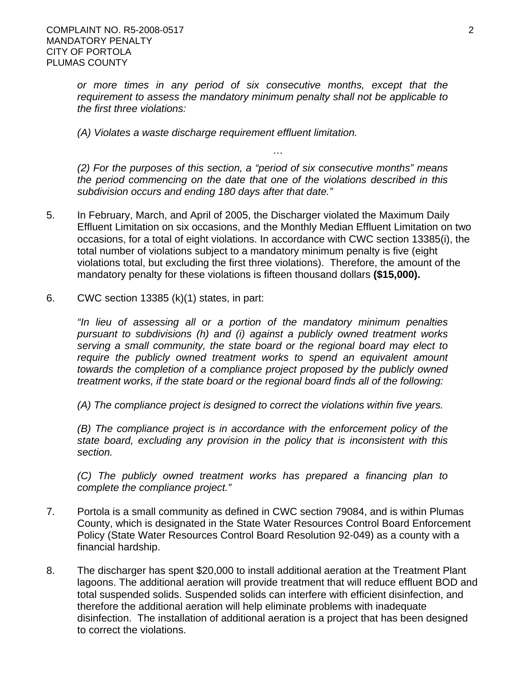*or more times in any period of six consecutive months, except that the requirement to assess the mandatory minimum penalty shall not be applicable to the first three violations:* 

*(A) Violates a waste discharge requirement effluent limitation.* 

*(2) For the purposes of this section, a "period of six consecutive months" means the period commencing on the date that one of the violations described in this subdivision occurs and ending 180 days after that date."* 

*…* 

- 5. In February, March, and April of 2005, the Discharger violated the Maximum Daily Effluent Limitation on six occasions, and the Monthly Median Effluent Limitation on two occasions, for a total of eight violations. In accordance with CWC section 13385(i), the total number of violations subject to a mandatory minimum penalty is five (eight violations total, but excluding the first three violations). Therefore, the amount of the mandatory penalty for these violations is fifteen thousand dollars **(\$15,000).**
- 6. CWC section 13385 (k)(1) states, in part:

*"In lieu of assessing all or a portion of the mandatory minimum penalties pursuant to subdivisions (h) and (i) against a publicly owned treatment works serving a small community, the state board or the regional board may elect to require the publicly owned treatment works to spend an equivalent amount towards the completion of a compliance project proposed by the publicly owned treatment works, if the state board or the regional board finds all of the following:* 

*(A) The compliance project is designed to correct the violations within five years.* 

*(B) The compliance project is in accordance with the enforcement policy of the state board, excluding any provision in the policy that is inconsistent with this section.* 

*(C) The publicly owned treatment works has prepared a financing plan to complete the compliance project."* 

- 7. Portola is a small community as defined in CWC section 79084, and is within Plumas County, which is designated in the State Water Resources Control Board Enforcement Policy (State Water Resources Control Board Resolution 92-049) as a county with a financial hardship.
- 8. The discharger has spent \$20,000 to install additional aeration at the Treatment Plant lagoons. The additional aeration will provide treatment that will reduce effluent BOD and total suspended solids. Suspended solids can interfere with efficient disinfection, and therefore the additional aeration will help eliminate problems with inadequate disinfection. The installation of additional aeration is a project that has been designed to correct the violations.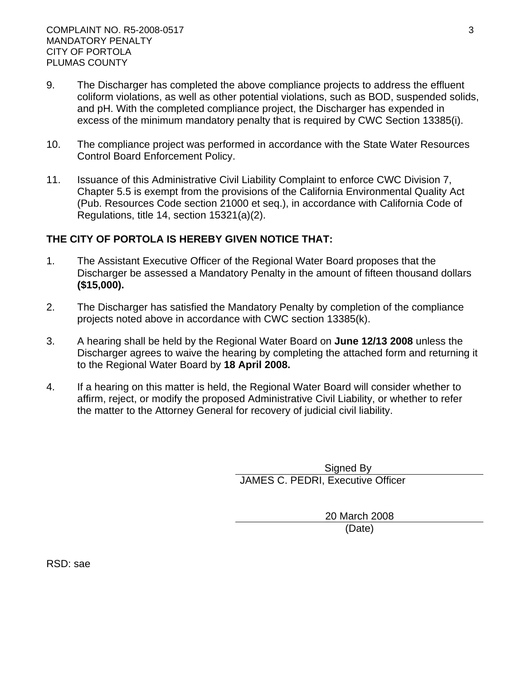- 9. The Discharger has completed the above compliance projects to address the effluent coliform violations, as well as other potential violations, such as BOD, suspended solids, and pH. With the completed compliance project, the Discharger has expended in excess of the minimum mandatory penalty that is required by CWC Section 13385(i).
- 10. The compliance project was performed in accordance with the State Water Resources Control Board Enforcement Policy.
- 11. Issuance of this Administrative Civil Liability Complaint to enforce CWC Division 7, Chapter 5.5 is exempt from the provisions of the California Environmental Quality Act (Pub. Resources Code section 21000 et seq.), in accordance with California Code of Regulations, title 14, section 15321(a)(2).

## **THE CITY OF PORTOLA IS HEREBY GIVEN NOTICE THAT:**

- 1. The Assistant Executive Officer of the Regional Water Board proposes that the Discharger be assessed a Mandatory Penalty in the amount of fifteen thousand dollars **(\$15,000).**
- 2. The Discharger has satisfied the Mandatory Penalty by completion of the compliance projects noted above in accordance with CWC section 13385(k).
- 3. A hearing shall be held by the Regional Water Board on **June 12/13 2008** unless the Discharger agrees to waive the hearing by completing the attached form and returning it to the Regional Water Board by **18 April 2008.**
- 4. If a hearing on this matter is held, the Regional Water Board will consider whether to affirm, reject, or modify the proposed Administrative Civil Liability, or whether to refer the matter to the Attorney General for recovery of judicial civil liability.

Signed By JAMES C. PEDRI, Executive Officer

> 20 March 2008 (Date)

RSD: sae